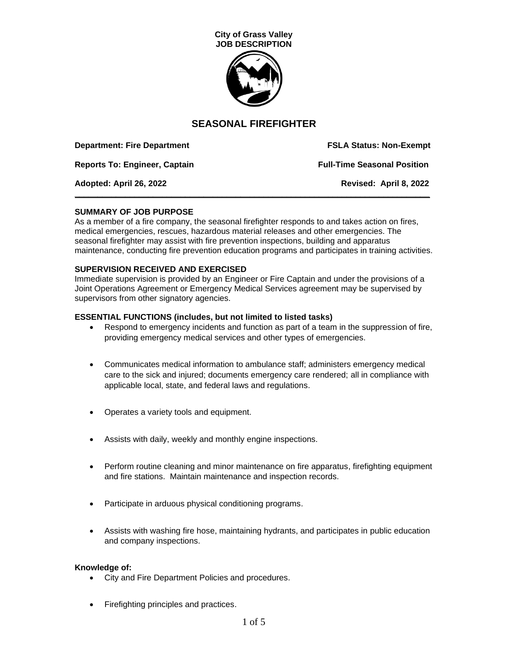

| <b>Department: Fire Department</b>   | <b>FSLA Status: Non-Exempt</b>     |
|--------------------------------------|------------------------------------|
| <b>Reports To: Engineer, Captain</b> | <b>Full-Time Seasonal Position</b> |
| Adopted: April 26, 2022              | Revised: April 8, 2022             |

### **SUMMARY OF JOB PURPOSE**

As a member of a fire company, the seasonal firefighter responds to and takes action on fires, medical emergencies, rescues, hazardous material releases and other emergencies. The seasonal firefighter may assist with fire prevention inspections, building and apparatus maintenance, conducting fire prevention education programs and participates in training activities.

### **SUPERVISION RECEIVED AND EXERCISED**

Immediate supervision is provided by an Engineer or Fire Captain and under the provisions of a Joint Operations Agreement or Emergency Medical Services agreement may be supervised by supervisors from other signatory agencies.

### **ESSENTIAL FUNCTIONS (includes, but not limited to listed tasks)**

- Respond to emergency incidents and function as part of a team in the suppression of fire, providing emergency medical services and other types of emergencies.
- Communicates medical information to ambulance staff; administers emergency medical care to the sick and injured; documents emergency care rendered; all in compliance with applicable local, state, and federal laws and regulations.
- Operates a variety tools and equipment.
- Assists with daily, weekly and monthly engine inspections.
- Perform routine cleaning and minor maintenance on fire apparatus, firefighting equipment and fire stations. Maintain maintenance and inspection records.
- Participate in arduous physical conditioning programs.
- Assists with washing fire hose, maintaining hydrants, and participates in public education and company inspections.

#### **Knowledge of:**

- City and Fire Department Policies and procedures.
- Firefighting principles and practices.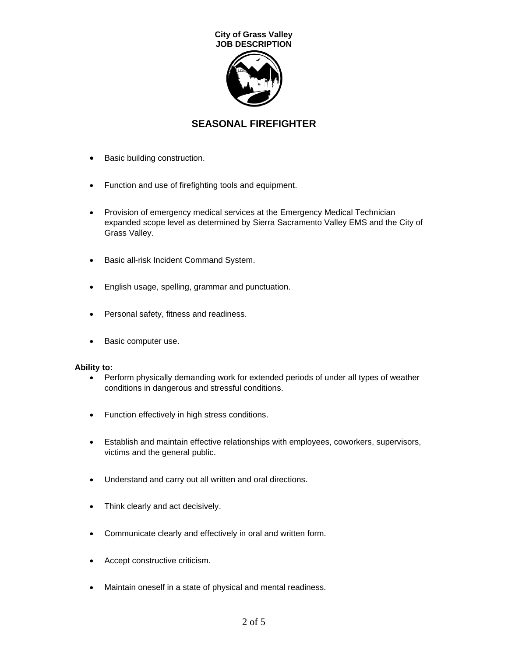

- Basic building construction.
- Function and use of firefighting tools and equipment.
- Provision of emergency medical services at the Emergency Medical Technician expanded scope level as determined by Sierra Sacramento Valley EMS and the City of Grass Valley.
- Basic all-risk Incident Command System.
- English usage, spelling, grammar and punctuation.
- Personal safety, fitness and readiness.
- Basic computer use.

## **Ability to:**

- Perform physically demanding work for extended periods of under all types of weather conditions in dangerous and stressful conditions.
- Function effectively in high stress conditions.
- Establish and maintain effective relationships with employees, coworkers, supervisors, victims and the general public.
- Understand and carry out all written and oral directions.
- Think clearly and act decisively.
- Communicate clearly and effectively in oral and written form.
- Accept constructive criticism.
- Maintain oneself in a state of physical and mental readiness.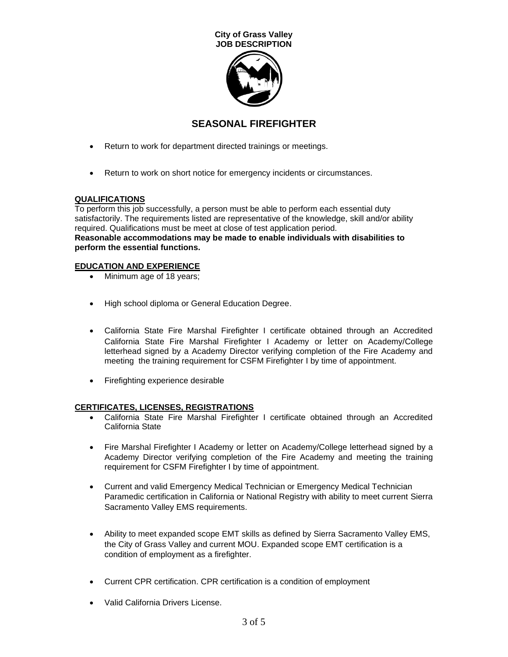

- Return to work for department directed trainings or meetings.
- Return to work on short notice for emergency incidents or circumstances.

## **QUALIFICATIONS**

To perform this job successfully, a person must be able to perform each essential duty satisfactorily. The requirements listed are representative of the knowledge, skill and/or ability required. Qualifications must be meet at close of test application period. **Reasonable accommodations may be made to enable individuals with disabilities to perform the essential functions.**

### **EDUCATION AND EXPERIENCE**

- Minimum age of 18 years;
- High school diploma or General Education Degree.
- California State Fire Marshal Firefighter I certificate obtained through an Accredited California State Fire Marshal Firefighter I Academy or letter on Academy/College letterhead signed by a Academy Director verifying completion of the Fire Academy and meeting the training requirement for CSFM Firefighter I by time of appointment.
- Firefighting experience desirable

## **CERTIFICATES, LICENSES, REGISTRATIONS**

- California State Fire Marshal Firefighter I certificate obtained through an Accredited California State
- Fire Marshal Firefighter I Academy or letter on Academy/College letterhead signed by a Academy Director verifying completion of the Fire Academy and meeting the training requirement for CSFM Firefighter I by time of appointment.
- Current and valid Emergency Medical Technician or Emergency Medical Technician Paramedic certification in California or National Registry with ability to meet current Sierra Sacramento Valley EMS requirements.
- Ability to meet expanded scope EMT skills as defined by Sierra Sacramento Valley EMS, the City of Grass Valley and current MOU. Expanded scope EMT certification is a condition of employment as a firefighter.
- Current CPR certification. CPR certification is a condition of employment
- Valid California Drivers License.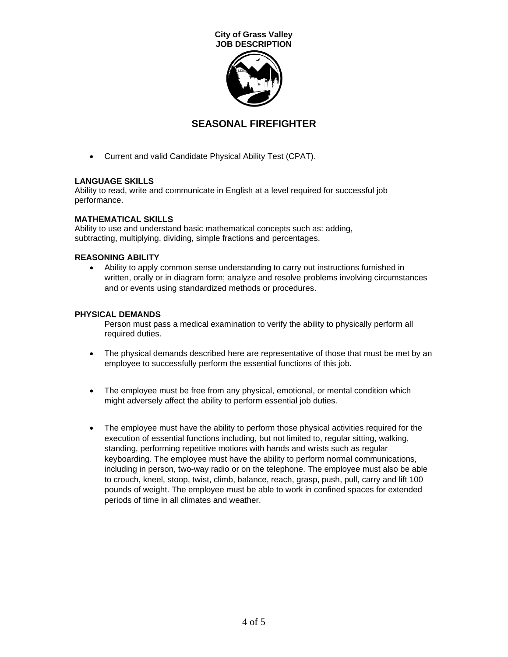

• Current and valid Candidate Physical Ability Test (CPAT).

## **LANGUAGE SKILLS**

Ability to read, write and communicate in English at a level required for successful job performance.

### **MATHEMATICAL SKILLS**

Ability to use and understand basic mathematical concepts such as: adding, subtracting, multiplying, dividing, simple fractions and percentages.

## **REASONING ABILITY**

• Ability to apply common sense understanding to carry out instructions furnished in written, orally or in diagram form; analyze and resolve problems involving circumstances and or events using standardized methods or procedures.

### **PHYSICAL DEMANDS**

Person must pass a medical examination to verify the ability to physically perform all required duties.

- The physical demands described here are representative of those that must be met by an employee to successfully perform the essential functions of this job.
- The employee must be free from any physical, emotional, or mental condition which might adversely affect the ability to perform essential job duties.
- The employee must have the ability to perform those physical activities required for the execution of essential functions including, but not limited to, regular sitting, walking, standing, performing repetitive motions with hands and wrists such as regular keyboarding. The employee must have the ability to perform normal communications, including in person, two-way radio or on the telephone. The employee must also be able to crouch, kneel, stoop, twist, climb, balance, reach, grasp, push, pull, carry and lift 100 pounds of weight. The employee must be able to work in confined spaces for extended periods of time in all climates and weather.